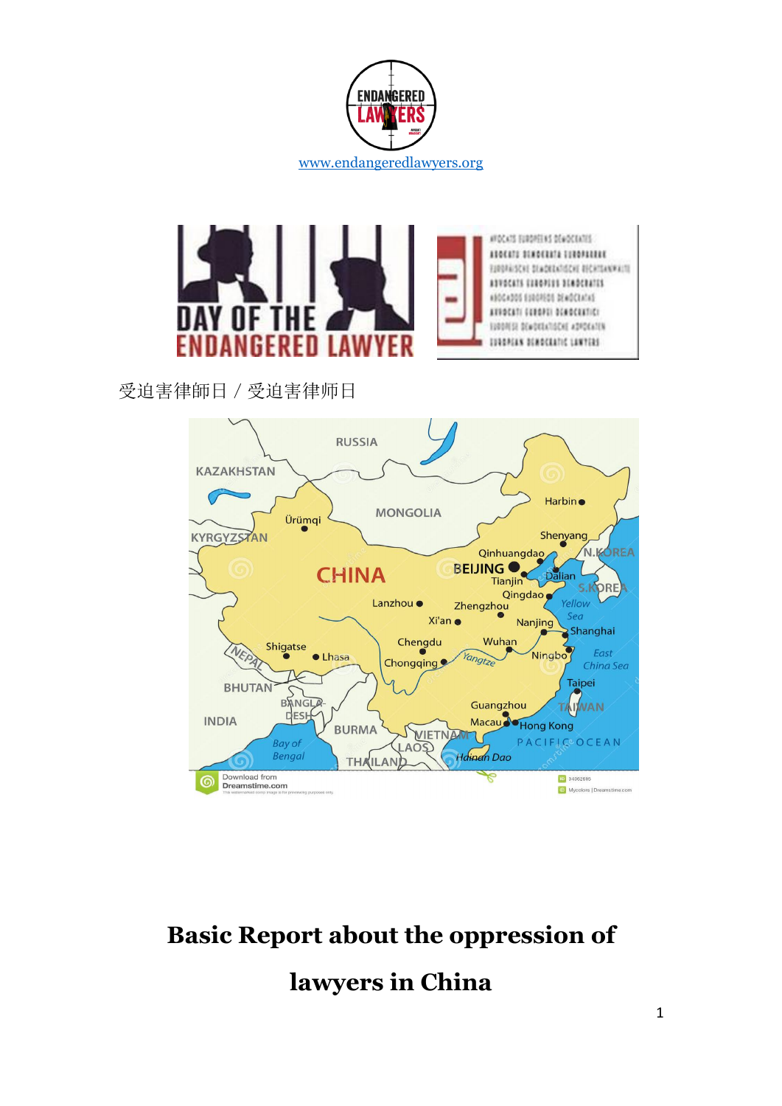



受迫害律師日/受迫害律师日



## **Basic Report about the oppression of lawyers in China**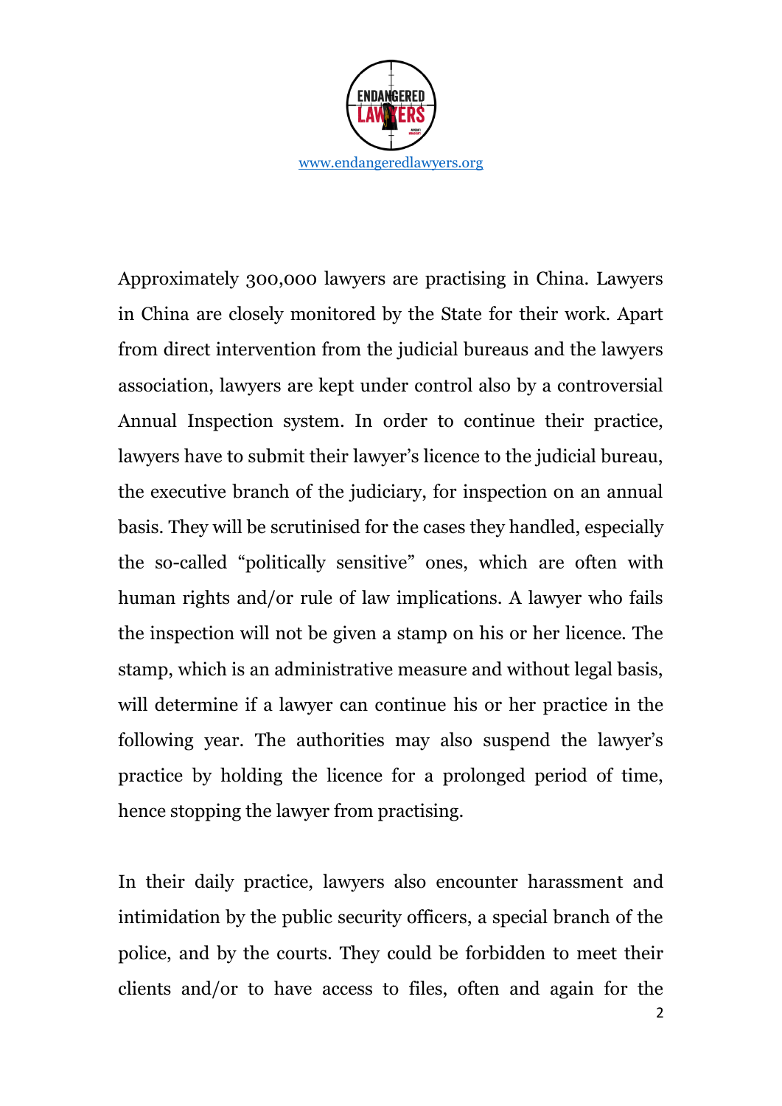

Approximately 300,000 lawyers are practising in China. Lawyers in China are closely monitored by the State for their work. Apart from direct intervention from the judicial bureaus and the lawyers association, lawyers are kept under control also by a controversial Annual Inspection system. In order to continue their practice, lawyers have to submit their lawyer's licence to the judicial bureau, the executive branch of the judiciary, for inspection on an annual basis. They will be scrutinised for the cases they handled, especially the so-called "politically sensitive" ones, which are often with human rights and/or rule of law implications. A lawyer who fails the inspection will not be given a stamp on his or her licence. The stamp, which is an administrative measure and without legal basis, will determine if a lawyer can continue his or her practice in the following year. The authorities may also suspend the lawyer's practice by holding the licence for a prolonged period of time, hence stopping the lawyer from practising.

In their daily practice, lawyers also encounter harassment and intimidation by the public security officers, a special branch of the police, and by the courts. They could be forbidden to meet their clients and/or to have access to files, often and again for the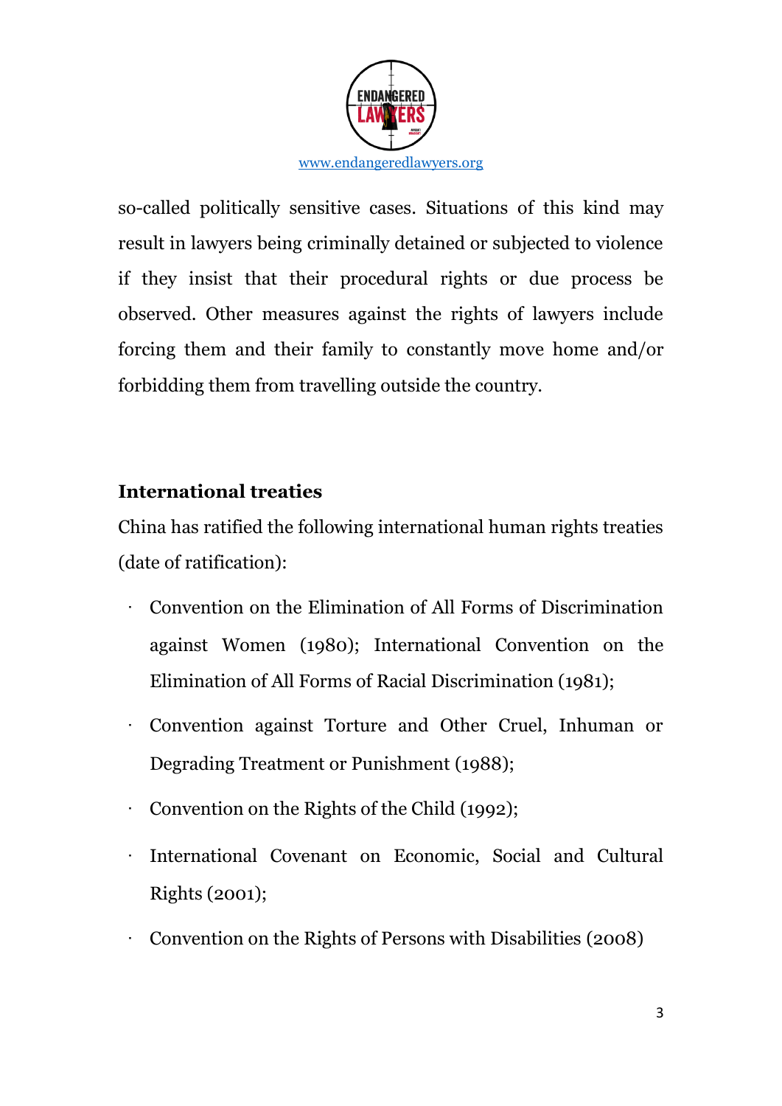

so-called politically sensitive cases. Situations of this kind may result in lawyers being criminally detained or subjected to violence if they insist that their procedural rights or due process be observed. Other measures against the rights of lawyers include forcing them and their family to constantly move home and/or forbidding them from travelling outside the country.

## **International treaties**

China has ratified the following international human rights treaties (date of ratification):

- ‧ Convention on the Elimination of All Forms of Discrimination against Women (1980); International Convention on the Elimination of All Forms of Racial Discrimination (1981);
- ‧ Convention against Torture and Other Cruel, Inhuman or Degrading Treatment or Punishment (1988);
- ‧ Convention on the Rights of the Child (1992);
- International Covenant on Economic, Social and Cultural Rights (2001);
- ‧ Convention on the Rights of Persons with Disabilities (2008)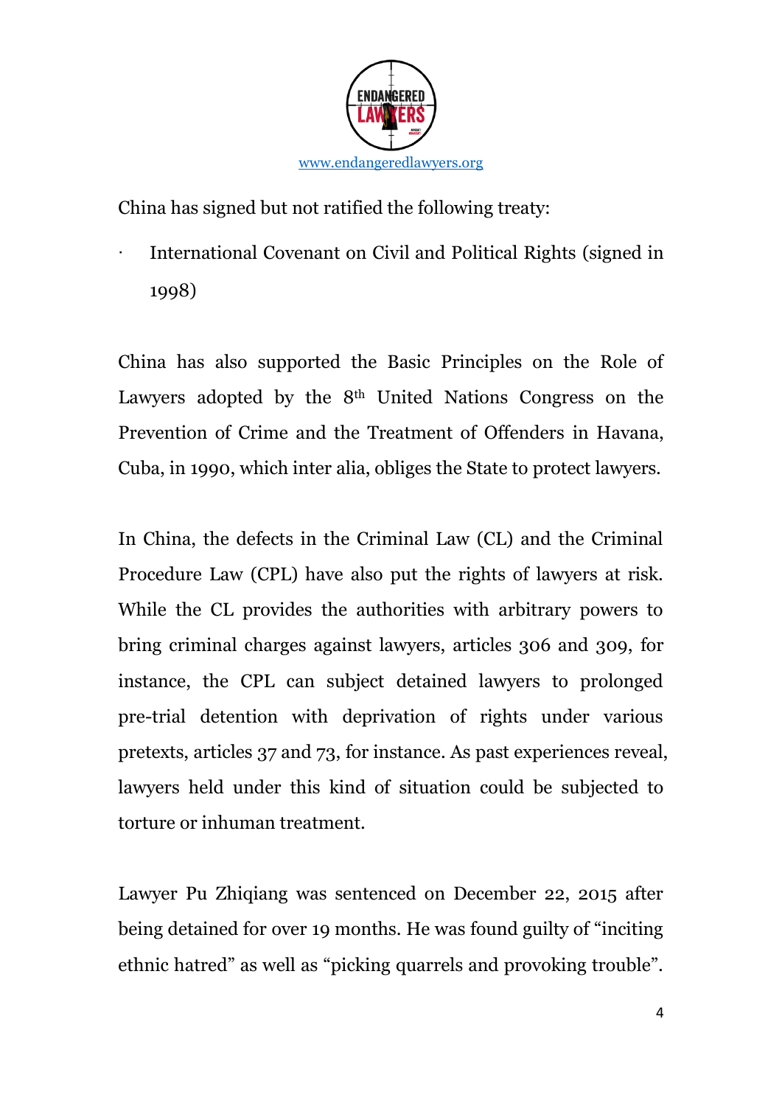

China has signed but not ratified the following treaty:

International Covenant on Civil and Political Rights (signed in 1998)

China has also supported the Basic Principles on the Role of Lawyers adopted by the 8<sup>th</sup> United Nations Congress on the Prevention of Crime and the Treatment of Offenders in Havana, Cuba, in 1990, which inter alia, obliges the State to protect lawyers.

In China, the defects in the Criminal Law (CL) and the Criminal Procedure Law (CPL) have also put the rights of lawyers at risk. While the CL provides the authorities with arbitrary powers to bring criminal charges against lawyers, articles 306 and 309, for instance, the CPL can subject detained lawyers to prolonged pre-trial detention with deprivation of rights under various pretexts, articles 37 and 73, for instance. As past experiences reveal, lawyers held under this kind of situation could be subjected to torture or inhuman treatment.

Lawyer Pu Zhiqiang was sentenced on December 22, 2015 after being detained for over 19 months. He was found guilty of "inciting ethnic hatred" as well as "picking quarrels and provoking trouble".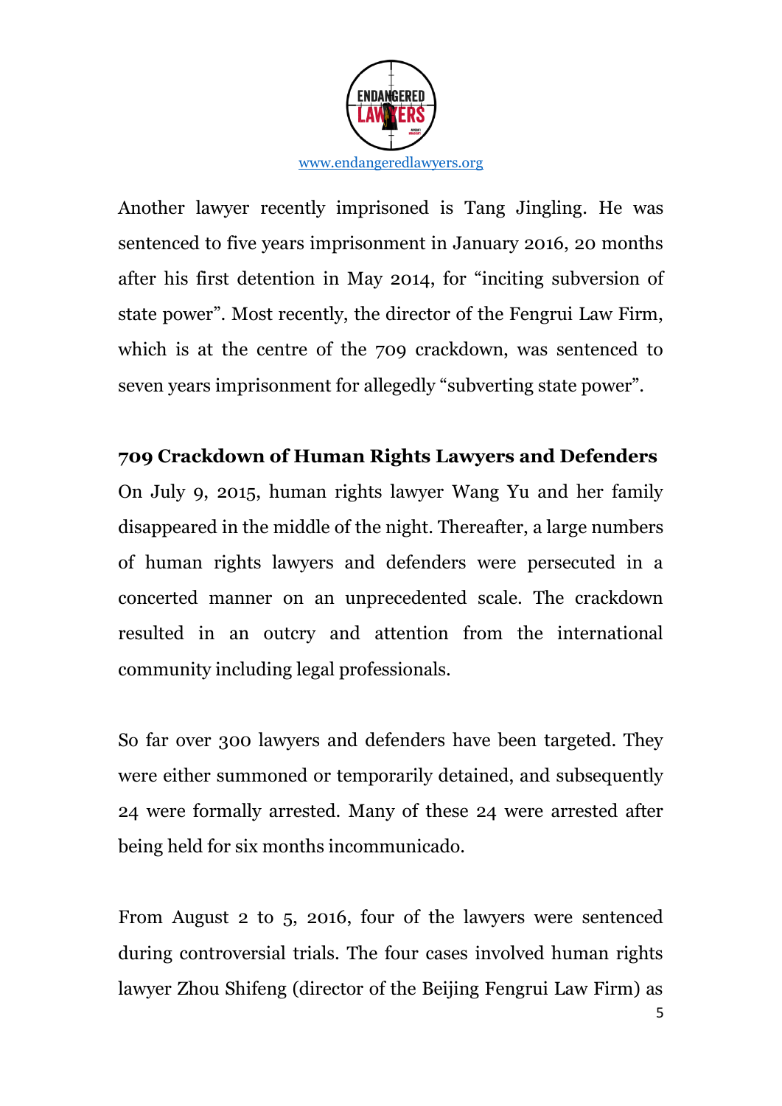

Another lawyer recently imprisoned is Tang Jingling. He was sentenced to five years imprisonment in January 2016, 20 months after his first detention in May 2014, for "inciting subversion of state power". Most recently, the director of the Fengrui Law Firm, which is at the centre of the 709 crackdown, was sentenced to seven years imprisonment for allegedly "subverting state power".

## **709 Crackdown of Human Rights Lawyers and Defenders**

On July 9, 2015, human rights lawyer Wang Yu and her family disappeared in the middle of the night. Thereafter, a large numbers of human rights lawyers and defenders were persecuted in a concerted manner on an unprecedented scale. The crackdown resulted in an outcry and attention from the international community including legal professionals.

So far over 300 lawyers and defenders have been targeted. They were either summoned or temporarily detained, and subsequently 24 were formally arrested. Many of these 24 were arrested after being held for six months incommunicado.

From August 2 to 5, 2016, four of the lawyers were sentenced during controversial trials. The four cases involved human rights lawyer Zhou Shifeng (director of the Beijing Fengrui Law Firm) as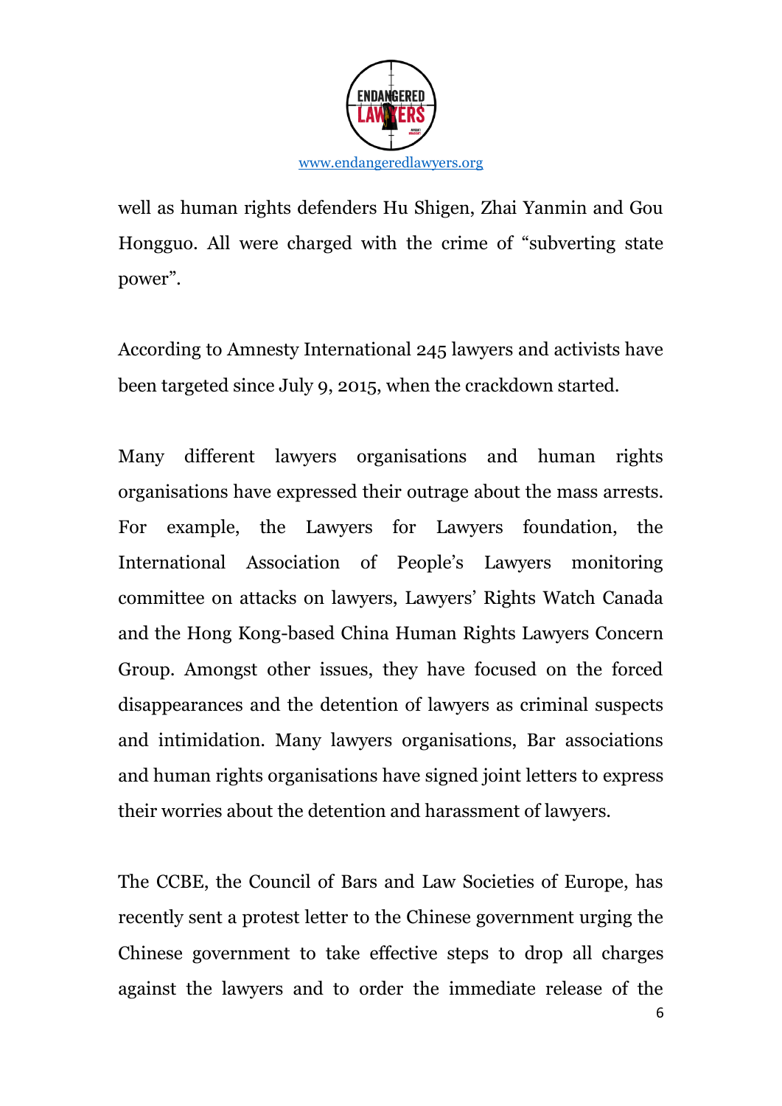

well as human rights defenders Hu Shigen, Zhai Yanmin and Gou Hongguo. All were charged with the crime of "subverting state power".

According to Amnesty International 245 lawyers and activists have been targeted since July 9, 2015, when the crackdown started.

Many different lawyers organisations and human rights organisations have expressed their outrage about the mass arrests. For example, the Lawyers for Lawyers foundation, the International Association of People's Lawyers monitoring committee on attacks on lawyers, Lawyers' Rights Watch Canada and the Hong Kong-based China Human Rights Lawyers Concern Group. Amongst other issues, they have focused on the forced disappearances and the detention of lawyers as criminal suspects and intimidation. Many lawyers organisations, Bar associations and human rights organisations have signed joint letters to express their worries about the detention and harassment of lawyers.

The CCBE, the Council of Bars and Law Societies of Europe, has recently sent a protest letter to the Chinese government urging the Chinese government to take effective steps to drop all charges against the lawyers and to order the immediate release of the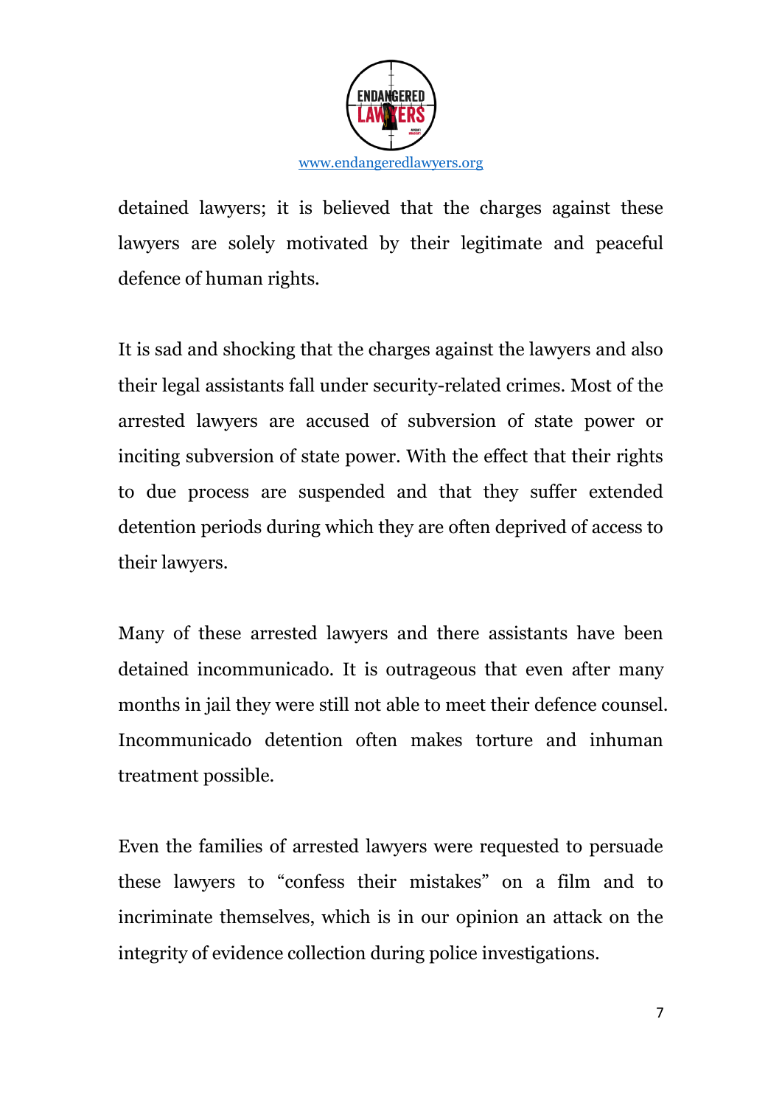

detained lawyers; it is believed that the charges against these lawyers are solely motivated by their legitimate and peaceful defence of human rights.

It is sad and shocking that the charges against the lawyers and also their legal assistants fall under security-related crimes. Most of the arrested lawyers are accused of subversion of state power or inciting subversion of state power. With the effect that their rights to due process are suspended and that they suffer extended detention periods during which they are often deprived of access to their lawyers.

Many of these arrested lawyers and there assistants have been detained incommunicado. It is outrageous that even after many months in jail they were still not able to meet their defence counsel. Incommunicado detention often makes torture and inhuman treatment possible.

Even the families of arrested lawyers were requested to persuade these lawyers to "confess their mistakes" on a film and to incriminate themselves, which is in our opinion an attack on the integrity of evidence collection during police investigations.